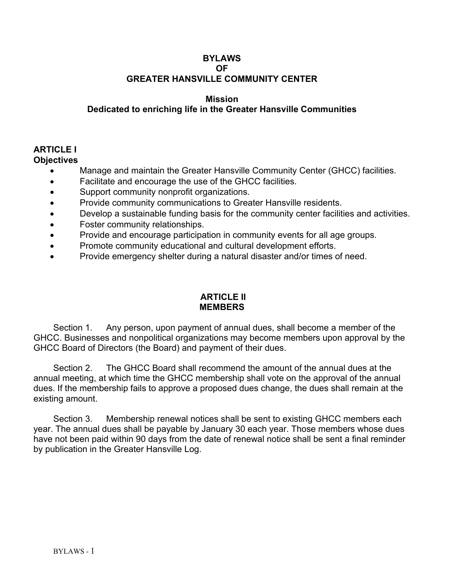#### **BYLAWS OF GREATER HANSVILLE COMMUNITY CENTER**

## **Mission**

# **Dedicated to enriching life in the Greater Hansville Communities**

# **ARTICLE I**

- **Objectives**
	- Manage and maintain the Greater Hansville Community Center (GHCC) facilities.
	- Facilitate and encourage the use of the GHCC facilities.
	- Support community nonprofit organizations.
	- Provide community communications to Greater Hansville residents.
	- Develop a sustainable funding basis for the community center facilities and activities.
	- Foster community relationships.
	- Provide and encourage participation in community events for all age groups.
	- Promote community educational and cultural development efforts.
	- Provide emergency shelter during a natural disaster and/or times of need.

## **ARTICLE II MEMBERS**

Section 1. Any person, upon payment of annual dues, shall become a member of the GHCC. Businesses and nonpolitical organizations may become members upon approval by the GHCC Board of Directors (the Board) and payment of their dues.

Section 2. The GHCC Board shall recommend the amount of the annual dues at the annual meeting, at which time the GHCC membership shall vote on the approval of the annual dues. If the membership fails to approve a proposed dues change, the dues shall remain at the existing amount.

Section 3. Membership renewal notices shall be sent to existing GHCC members each year. The annual dues shall be payable by January 30 each year. Those members whose dues have not been paid within 90 days from the date of renewal notice shall be sent a final reminder by publication in the Greater Hansville Log.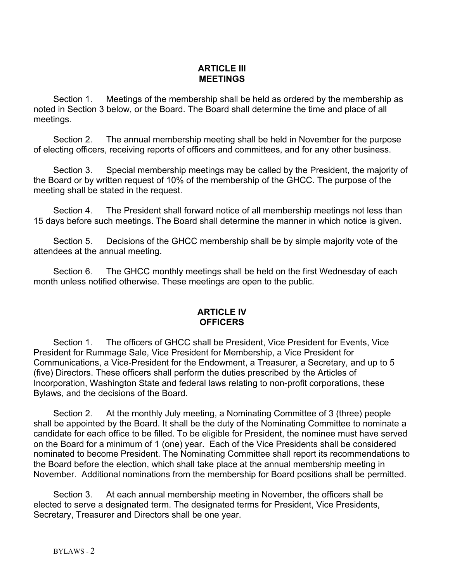## **ARTICLE III MEETINGS**

Section 1. Meetings of the membership shall be held as ordered by the membership as noted in Section 3 below, or the Board. The Board shall determine the time and place of all meetings.

Section 2. The annual membership meeting shall be held in November for the purpose of electing officers, receiving reports of officers and committees, and for any other business.

Section 3. Special membership meetings may be called by the President, the majority of the Board or by written request of 10% of the membership of the GHCC. The purpose of the meeting shall be stated in the request.

Section 4. The President shall forward notice of all membership meetings not less than 15 days before such meetings. The Board shall determine the manner in which notice is given.

Section 5. Decisions of the GHCC membership shall be by simple majority vote of the attendees at the annual meeting.

Section 6. The GHCC monthly meetings shall be held on the first Wednesday of each month unless notified otherwise. These meetings are open to the public.

## **ARTICLE IV OFFICERS**

Section 1. The officers of GHCC shall be President, Vice President for Events, Vice President for Rummage Sale, Vice President for Membership, a Vice President for Communications, a Vice-President for the Endowment, a Treasurer, a Secretary, and up to 5 (five) Directors. These officers shall perform the duties prescribed by the Articles of Incorporation, Washington State and federal laws relating to non-profit corporations, these Bylaws, and the decisions of the Board.

Section 2. At the monthly July meeting, a Nominating Committee of 3 (three) people shall be appointed by the Board. It shall be the duty of the Nominating Committee to nominate a candidate for each office to be filled. To be eligible for President, the nominee must have served on the Board for a minimum of 1 (one) year. Each of the Vice Presidents shall be considered nominated to become President. The Nominating Committee shall report its recommendations to the Board before the election, which shall take place at the annual membership meeting in November. Additional nominations from the membership for Board positions shall be permitted.

Section 3. At each annual membership meeting in November, the officers shall be elected to serve a designated term. The designated terms for President, Vice Presidents, Secretary, Treasurer and Directors shall be one year.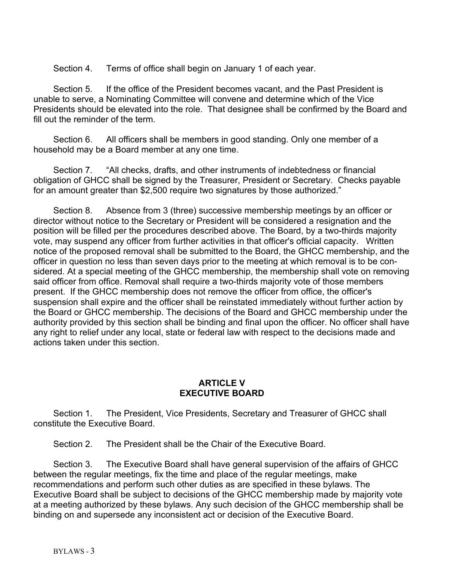Section 4. Terms of office shall begin on January 1 of each year.

Section 5. If the office of the President becomes vacant, and the Past President is unable to serve, a Nominating Committee will convene and determine which of the Vice Presidents should be elevated into the role. That designee shall be confirmed by the Board and fill out the reminder of the term.

Section 6. All officers shall be members in good standing. Only one member of a household may be a Board member at any one time.

Section 7. "All checks, drafts, and other instruments of indebtedness or financial obligation of GHCC shall be signed by the Treasurer, President or Secretary. Checks payable for an amount greater than \$2,500 require two signatures by those authorized."

Section 8. Absence from 3 (three) successive membership meetings by an officer or director without notice to the Secretary or President will be considered a resignation and the position will be filled per the procedures described above. The Board, by a two-thirds majority vote, may suspend any officer from further activities in that officer's official capacity. Written notice of the proposed removal shall be submitted to the Board, the GHCC membership, and the officer in question no less than seven days prior to the meeting at which removal is to be considered. At a special meeting of the GHCC membership, the membership shall vote on removing said officer from office. Removal shall require a two-thirds majority vote of those members present. If the GHCC membership does not remove the officer from office, the officer's suspension shall expire and the officer shall be reinstated immediately without further action by the Board or GHCC membership. The decisions of the Board and GHCC membership under the authority provided by this section shall be binding and final upon the officer. No officer shall have any right to relief under any local, state or federal law with respect to the decisions made and actions taken under this section.

## **ARTICLE V EXECUTIVE BOARD**

Section 1. The President, Vice Presidents, Secretary and Treasurer of GHCC shall constitute the Executive Board.

Section 2. The President shall be the Chair of the Executive Board.

Section 3. The Executive Board shall have general supervision of the affairs of GHCC between the regular meetings, fix the time and place of the regular meetings, make recommendations and perform such other duties as are specified in these bylaws. The Executive Board shall be subject to decisions of the GHCC membership made by majority vote at a meeting authorized by these bylaws. Any such decision of the GHCC membership shall be binding on and supersede any inconsistent act or decision of the Executive Board.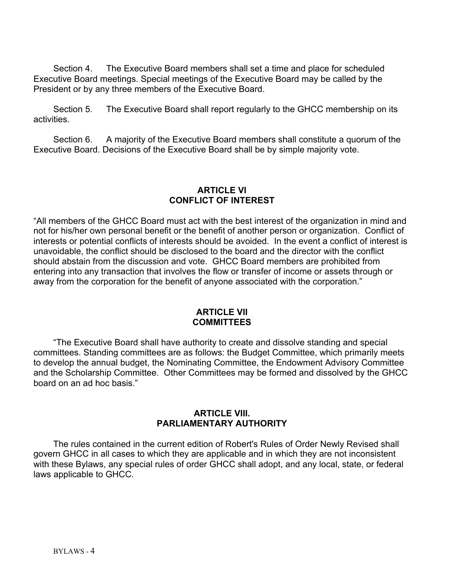Section 4. The Executive Board members shall set a time and place for scheduled Executive Board meetings. Special meetings of the Executive Board may be called by the President or by any three members of the Executive Board.

Section 5. The Executive Board shall report regularly to the GHCC membership on its activities.

Section 6. A majority of the Executive Board members shall constitute a quorum of the Executive Board. Decisions of the Executive Board shall be by simple majority vote.

## **ARTICLE VI CONFLICT OF INTEREST**

"All members of the GHCC Board must act with the best interest of the organization in mind and not for his/her own personal benefit or the benefit of another person or organization. Conflict of interests or potential conflicts of interests should be avoided. In the event a conflict of interest is unavoidable, the conflict should be disclosed to the board and the director with the conflict should abstain from the discussion and vote. GHCC Board members are prohibited from entering into any transaction that involves the flow or transfer of income or assets through or away from the corporation for the benefit of anyone associated with the corporation."

#### **ARTICLE VII COMMITTEES**

"The Executive Board shall have authority to create and dissolve standing and special committees. Standing committees are as follows: the Budget Committee, which primarily meets to develop the annual budget, the Nominating Committee, the Endowment Advisory Committee and the Scholarship Committee. Other Committees may be formed and dissolved by the GHCC board on an ad hoc basis."

#### **ARTICLE VIII. PARLIAMENTARY AUTHORITY**

The rules contained in the current edition of Robert's Rules of Order Newly Revised shall govern GHCC in all cases to which they are applicable and in which they are not inconsistent with these Bylaws, any special rules of order GHCC shall adopt, and any local, state, or federal laws applicable to GHCC.